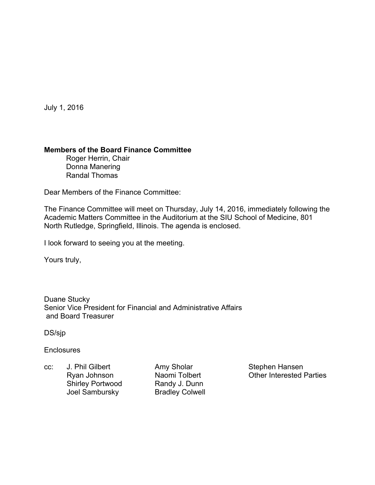July 1, 2016

## **Members of the Board Finance Committee**

 Roger Herrin, Chair Donna Manering Randal Thomas

Dear Members of the Finance Committee:

The Finance Committee will meet on Thursday, July 14, 2016, immediately following the Academic Matters Committee in the Auditorium at the SIU School of Medicine, 801 North Rutledge, Springfield, Illinois. The agenda is enclosed.

I look forward to seeing you at the meeting.

Yours truly,

Duane Stucky Senior Vice President for Financial and Administrative Affairs and Board Treasurer

DS/sjp

**Enclosures** 

cc: J. Phil Gilbert Amy Sholar Stephen Hansen Shirley Portwood Randy J. Dunn Joel Sambursky Bradley Colwell

Ryan Johnson Naomi Tolbert Cher Interested Parties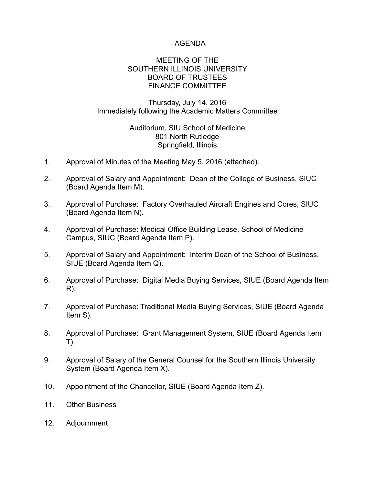## AGENDA

#### MEETING OF THE SOUTHERN ILLINOIS UNIVERSITY BOARD OF TRUSTEES FINANCE COMMITTEE

### Thursday, July 14, 2016 Immediately following the Academic Matters Committee

### Auditorium, SIU School of Medicine 801 North Rutledge Springfield, Illinois

- 1. Approval of Minutes of the Meeting May 5, 2016 (attached).
- 2. Approval of Salary and Appointment: Dean of the College of Business, SIUC (Board Agenda Item M).
- 3. Approval of Purchase: Factory Overhauled Aircraft Engines and Cores, SIUC (Board Agenda Item N).
- 4. Approval of Purchase: Medical Office Building Lease, School of Medicine Campus, SIUC (Board Agenda Item P).
- 5. Approval of Salary and Appointment: Interim Dean of the School of Business, SIUE (Board Agenda Item Q).
- 6. Approval of Purchase: Digital Media Buying Services, SIUE (Board Agenda Item R).
- 7. Approval of Purchase: Traditional Media Buying Services, SIUE (Board Agenda Item S).
- 8. Approval of Purchase: Grant Management System, SIUE (Board Agenda Item T).
- 9. Approval of Salary of the General Counsel for the Southern Illinois University System (Board Agenda Item X).
- 10. Appointment of the Chancellor, SIUE (Board Agenda Item Z).
- 11. Other Business
- 12. Adjournment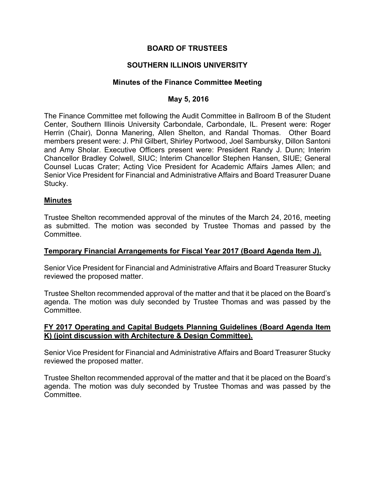## **BOARD OF TRUSTEES**

## **SOUTHERN ILLINOIS UNIVERSITY**

#### **Minutes of the Finance Committee Meeting**

#### **May 5, 2016**

The Finance Committee met following the Audit Committee in Ballroom B of the Student Center, Southern Illinois University Carbondale, Carbondale, IL. Present were: Roger Herrin (Chair), Donna Manering, Allen Shelton, and Randal Thomas. Other Board members present were: J. Phil Gilbert, Shirley Portwood, Joel Sambursky, Dillon Santoni and Amy Sholar. Executive Officers present were: President Randy J. Dunn; Interim Chancellor Bradley Colwell, SIUC; Interim Chancellor Stephen Hansen, SIUE; General Counsel Lucas Crater; Acting Vice President for Academic Affairs James Allen; and Senior Vice President for Financial and Administrative Affairs and Board Treasurer Duane Stucky.

#### **Minutes**

Trustee Shelton recommended approval of the minutes of the March 24, 2016, meeting as submitted. The motion was seconded by Trustee Thomas and passed by the Committee.

### **Temporary Financial Arrangements for Fiscal Year 2017 (Board Agenda Item J).**

Senior Vice President for Financial and Administrative Affairs and Board Treasurer Stucky reviewed the proposed matter.

Trustee Shelton recommended approval of the matter and that it be placed on the Board's agenda. The motion was duly seconded by Trustee Thomas and was passed by the Committee.

### **FY 2017 Operating and Capital Budgets Planning Guidelines (Board Agenda Item K) (joint discussion with Architecture & Design Committee).**

Senior Vice President for Financial and Administrative Affairs and Board Treasurer Stucky reviewed the proposed matter.

Trustee Shelton recommended approval of the matter and that it be placed on the Board's agenda. The motion was duly seconded by Trustee Thomas and was passed by the Committee.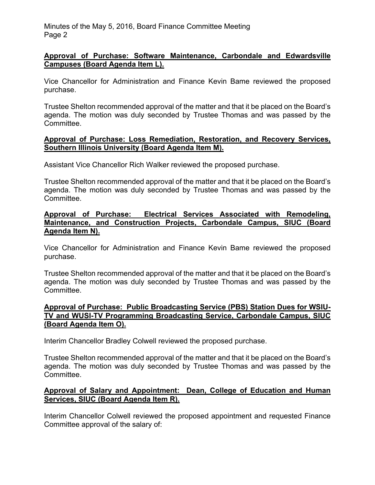### **Approval of Purchase: Software Maintenance, Carbondale and Edwardsville Campuses (Board Agenda Item L).**

Vice Chancellor for Administration and Finance Kevin Bame reviewed the proposed purchase.

Trustee Shelton recommended approval of the matter and that it be placed on the Board's agenda. The motion was duly seconded by Trustee Thomas and was passed by the Committee.

#### **Approval of Purchase: Loss Remediation, Restoration, and Recovery Services, Southern Illinois University (Board Agenda Item M).**

Assistant Vice Chancellor Rich Walker reviewed the proposed purchase.

Trustee Shelton recommended approval of the matter and that it be placed on the Board's agenda. The motion was duly seconded by Trustee Thomas and was passed by the Committee.

### **Approval of Purchase: Electrical Services Associated with Remodeling, Maintenance, and Construction Projects, Carbondale Campus, SIUC (Board Agenda Item N).**

Vice Chancellor for Administration and Finance Kevin Bame reviewed the proposed purchase.

Trustee Shelton recommended approval of the matter and that it be placed on the Board's agenda. The motion was duly seconded by Trustee Thomas and was passed by the Committee.

### **Approval of Purchase: Public Broadcasting Service (PBS) Station Dues for WSIU-TV and WUSI-TV Programming Broadcasting Service, Carbondale Campus, SIUC (Board Agenda Item O).**

Interim Chancellor Bradley Colwell reviewed the proposed purchase.

Trustee Shelton recommended approval of the matter and that it be placed on the Board's agenda. The motion was duly seconded by Trustee Thomas and was passed by the Committee.

## **Approval of Salary and Appointment: Dean, College of Education and Human Services, SIUC (Board Agenda Item R).**

Interim Chancellor Colwell reviewed the proposed appointment and requested Finance Committee approval of the salary of: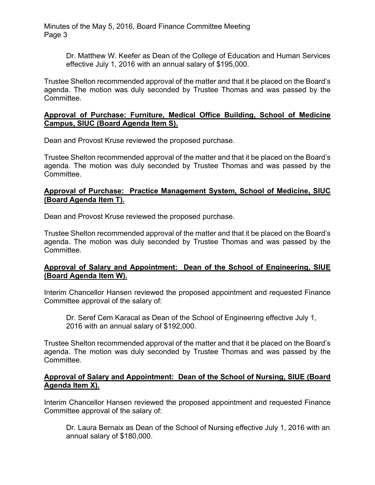> Dr. Matthew W. Keefer as Dean of the College of Education and Human Services effective July 1, 2016 with an annual salary of \$195,000.

Trustee Shelton recommended approval of the matter and that it be placed on the Board's agenda. The motion was duly seconded by Trustee Thomas and was passed by the Committee.

### **Approval of Purchase: Furniture, Medical Office Building, School of Medicine Campus, SIUC (Board Agenda Item S).**

Dean and Provost Kruse reviewed the proposed purchase.

Trustee Shelton recommended approval of the matter and that it be placed on the Board's agenda. The motion was duly seconded by Trustee Thomas and was passed by the Committee.

## **Approval of Purchase: Practice Management System, School of Medicine, SIUC (Board Agenda Item T).**

Dean and Provost Kruse reviewed the proposed purchase.

Trustee Shelton recommended approval of the matter and that it be placed on the Board's agenda. The motion was duly seconded by Trustee Thomas and was passed by the Committee.

# **Approval of Salary and Appointment: Dean of the School of Engineering, SIUE (Board Agenda Item W).**

Interim Chancellor Hansen reviewed the proposed appointment and requested Finance Committee approval of the salary of:

 Dr. Seref Cem Karacal as Dean of the School of Engineering effective July 1, 2016 with an annual salary of \$192,000.

Trustee Shelton recommended approval of the matter and that it be placed on the Board's agenda. The motion was duly seconded by Trustee Thomas and was passed by the Committee.

## **Approval of Salary and Appointment: Dean of the School of Nursing, SIUE (Board Agenda Item X).**

Interim Chancellor Hansen reviewed the proposed appointment and requested Finance Committee approval of the salary of:

 Dr. Laura Bernaix as Dean of the School of Nursing effective July 1, 2016 with an annual salary of \$180,000.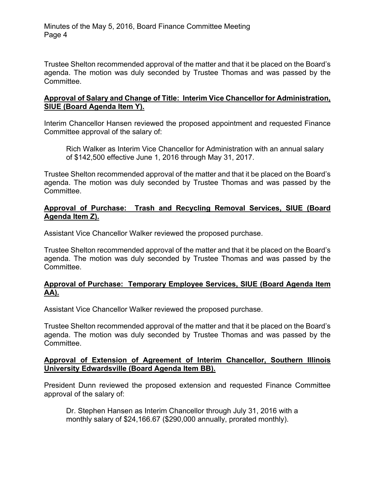Trustee Shelton recommended approval of the matter and that it be placed on the Board's agenda. The motion was duly seconded by Trustee Thomas and was passed by the Committee.

### **Approval of Salary and Change of Title: Interim Vice Chancellor for Administration, SIUE (Board Agenda Item Y).**

Interim Chancellor Hansen reviewed the proposed appointment and requested Finance Committee approval of the salary of:

 Rich Walker as Interim Vice Chancellor for Administration with an annual salary of \$142,500 effective June 1, 2016 through May 31, 2017.

Trustee Shelton recommended approval of the matter and that it be placed on the Board's agenda. The motion was duly seconded by Trustee Thomas and was passed by the Committee.

## **Approval of Purchase: Trash and Recycling Removal Services, SIUE (Board Agenda Item Z).**

Assistant Vice Chancellor Walker reviewed the proposed purchase.

Trustee Shelton recommended approval of the matter and that it be placed on the Board's agenda. The motion was duly seconded by Trustee Thomas and was passed by the Committee.

## **Approval of Purchase: Temporary Employee Services, SIUE (Board Agenda Item AA).**

Assistant Vice Chancellor Walker reviewed the proposed purchase.

Trustee Shelton recommended approval of the matter and that it be placed on the Board's agenda. The motion was duly seconded by Trustee Thomas and was passed by the Committee.

### **Approval of Extension of Agreement of Interim Chancellor, Southern Illinois University Edwardsville (Board Agenda Item BB).**

President Dunn reviewed the proposed extension and requested Finance Committee approval of the salary of:

 Dr. Stephen Hansen as Interim Chancellor through July 31, 2016 with a monthly salary of \$24,166.67 (\$290,000 annually, prorated monthly).